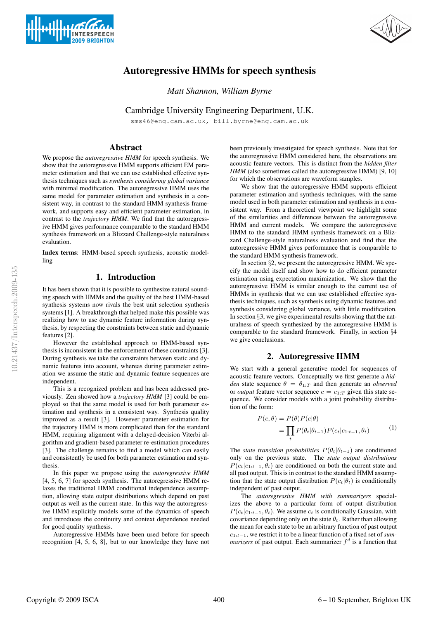



# Autoregressive HMMs for speech synthesis

*Matt Shannon, William Byrne*

Cambridge University Engineering Department, U.K.

sms46@eng.cam.ac.uk, bill.byrne@eng.cam.ac.uk

# Abstract

We propose the *autoregressive HMM* for speech synthesis. We show that the autoregressive HMM supports efficient EM parameter estimation and that we can use established effective synthesis techniques such as *synthesis considering global variance* with minimal modification. The autoregressive HMM uses the same model for parameter estimation and synthesis in a consistent way, in contrast to the standard HMM synthesis framework, and supports easy and efficient parameter estimation, in contrast to the *trajectory HMM*. We find that the autoregressive HMM gives performance comparable to the standard HMM synthesis framework on a Blizzard Challenge-style naturalness evaluation.

Index terms: HMM-based speech synthesis, acoustic modelling

# 1. Introduction

It has been shown that it is possible to synthesize natural sounding speech with HMMs and the quality of the best HMM-based synthesis systems now rivals the best unit selection synthesis systems [1]. A breakthrough that helped make this possible was realizing how to use dynamic feature information during synthesis, by respecting the constraints between static and dynamic features [2].

However the established approach to HMM-based synthesis is inconsistent in the enforcement of these constraints [3]. During synthesis we take the constraints between static and dynamic features into account, whereas during parameter estimation we assume the static and dynamic feature sequences are independent.

This is a recognized problem and has been addressed previously. Zen showed how a *trajectory HMM* [3] could be employed so that the same model is used for both parameter estimation and synthesis in a consistent way. Synthesis quality improved as a result [3]. However parameter estimation for the trajectory HMM is more complicated than for the standard HMM, requiring alignment with a delayed-decision Viterbi algorithm and gradient-based parameter re-estimation procedures [3]. The challenge remains to find a model which can easily and consistently be used for both parameter estimation and synthesis.

In this paper we propose using the *autoregressive HMM* [4, 5, 6, 7] for speech synthesis. The autoregressive HMM relaxes the traditional HMM conditional independence assumption, allowing state output distributions which depend on past output as well as the current state. In this way the autoregressive HMM explicitly models some of the dynamics of speech and introduces the continuity and context dependence needed for good quality synthesis.

Autoregressive HMMs have been used before for speech recognition [4, 5, 6, 8], but to our knowledge they have not been previously investigated for speech synthesis. Note that for the autoregressive HMM considered here, the observations are acoustic feature vectors. This is distinct from the *hidden filter HMM* (also sometimes called the autoregressive HMM) [9, 10] for which the observations are waveform samples.

We show that the autoregressive HMM supports efficient parameter estimation and synthesis techniques, with the same model used in both parameter estimation and synthesis in a consistent way. From a theoretical viewpoint we highlight some of the similarities and differences between the autoregressive HMM and current models. We compare the autoregressive HMM to the standard HMM synthesis framework on a Blizzard Challenge-style naturalness evaluation and find that the autoregressive HMM gives performance that is comparable to the standard HMM synthesis framework.

In section §2, we present the autoregressive HMM. We specify the model itself and show how to do efficient parameter estimation using expectation maximization. We show that the autoregressive HMM is similar enough to the current use of HMMs in synthesis that we can use established effective synthesis techniques, such as synthesis using dynamic features and synthesis considering global variance, with little modification. In section §3, we give experimental results showing that the naturalness of speech synthesized by the autoregressive HMM is comparable to the standard framework. Finally, in section §4 we give conclusions.

### 2. Autoregressive HMM

We start with a general generative model for sequences of acoustic feature vectors. Conceptually we first generate a *hidden* state sequence  $\theta = \theta_{1:T}$  and then generate an *observed* or *output* feature vector sequence  $c = c_{1:T}$  given this state sequence. We consider models with a joint probability distribution of the form:

$$
P(c, \theta) = P(\theta)P(c|\theta)
$$
  
= 
$$
\prod_{t} P(\theta_t | \theta_{t-1}) P(c_t | c_{1:t-1}, \theta_t)
$$
 (1)

The *state transition probabilities*  $P(\theta_t | \theta_{t-1})$  are conditioned only on the previous state. The *state output distributions*  $P(c_t|c_{1:t-1}, \theta_t)$  are conditioned on both the current state and all past output. This is in contrast to the standard HMM assumption that the state output distribution  $P(c_t|\theta_t)$  is conditionally independent of past output.

The *autoregressive HMM with summarizers* specializes the above to a particular form of output distribution  $P(c_t|c_{1:t-1}, \theta_t)$ . We assume  $c_t$  is conditionally Gaussian, with covariance depending only on the state  $\theta_t$ . Rather than allowing the mean for each state to be an arbitrary function of past output c1:t−<sup>1</sup>, we restrict it to be a linear function of a fixed set of *summarizers* of past output. Each summarizer  $f<sup>d</sup>$  is a function that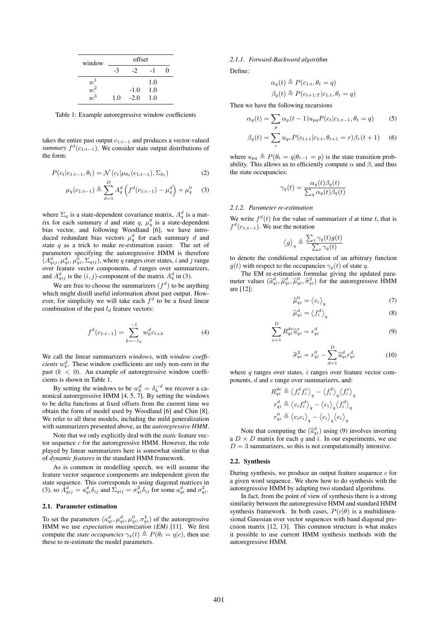| window          | offset |        |     |  |  |
|-----------------|--------|--------|-----|--|--|
|                 | -3     | $-2$   | -1  |  |  |
| $w^1$           |        |        | 1.0 |  |  |
| $\frac{1}{w^2}$ |        | $-1.0$ | 1.0 |  |  |
| $w^3$           | 1.0    | $-2.0$ | 1.0 |  |  |

Table 1: Example autoregressive window coefficients

takes the entire past output  $c_{1:t-1}$  and produces a vector-valued *summary*  $f^d(c_{1:t-1})$ . We consider state output distributions of the form:

$$
P(c_t|c_{1:t-1}, \theta_t) = \mathcal{N}(c_t|\mu_{\theta_t}(c_{1:t-1}), \Sigma_{\theta_t})
$$
\n(2)

$$
\mu_q(c_{1:t-1}) \triangleq \sum_{d=1}^D A_q^d \left( f^d(c_{1:t-1}) - \mu_q^d \right) + \mu_q^0 \quad (3)
$$

where  $\Sigma_q$  is a state-dependent covariance matrix,  $A_q^d$  is a matrix for each summary d and state  $q, \mu_q^0$  is a state-dependent bias vector, and following Woodland [6], we have introduced redundant bias vectors  $\mu_q^d$  for each summary d and state  $q$  as a trick to make re-estimation easier. The set of parameters specifying the autoregressive HMM is therefore  $(A_{qij}^d, \mu_{qi}^d, \mu_{qi}^{\overline{0}}, \Sigma_{qij})$ , where q ranges over states, i and j range over feature vector components,  $d$  ranges over summarizers, and  $A_{qij}^d$  is the  $(i, j)$ -component of the matrix  $A_q^d$  in (3).

We are free to choose the summarizers  $(f^d)$  to be anything which might distill useful information about past output. However, for simplicity we will take each  $f<sup>d</sup>$  to be a fixed linear combination of the past  $l_d$  feature vectors:

$$
f^{d}(c_{1:t-1}) = \sum_{k=-l_d}^{-1} w_k^{d} c_{t+k}
$$
 (4)

We call the linear summarizers *windows*, with *window coefficients*  $w_k^d$ . These window coefficients are only non-zero in the past  $(k < 0)$ . An example of autoregressive window coefficients is shown in Table 1.

By setting the windows to be  $w_k^d = \delta_k^{-d}$  we recover a canonical autoregressive HMM [4, 5, 7]. By setting the windows to be delta functions at fixed offsets from the current time we obtain the form of model used by Woodland [6] and Chin [8]. We refer to all these models, including the mild generalization with summarizers presented above, as the *autoregressive HMM*.

Note that we only explicitly deal with the *static* feature vector sequence  $c$  for the autoregressive HMM. However, the role played by linear summarizers here is somewhat similar to that of *dynamic features* in the standard HMM framework.

As is common in modelling speech, we will assume the feature vector sequence components are independent given the state sequence. This corresponds to using diagonal matrices in (3), so  $\bar{A}_{qij}^d = a_{qi}^d \delta_{ij}$  and  $\bar{\Sigma}_{qij} = \sigma_{qi}^2 \delta_{ij}$  for some  $a_{qi}^d$  and  $\sigma_{qi}^2$ .

## 2.1. Parameter estimation

To set the parameters  $(a_{qi}^d, \mu_{qi}^d, \mu_{qi}^0, \sigma_{qi}^2)$  of the autoregressive HMM we use *expectation maximization (EM)* [11]. We first compute the *state occupancies*  $\gamma_q(t) \triangleq P(\theta_t = q|c)$ , then use these to re-estimate the model parameters.

#### *2.1.1. Forward-Backward algorithm*

Define:

$$
\alpha_q(t) \triangleq P(c_{1:t}, \theta_t = q)
$$
  

$$
\beta_q(t) \triangleq P(c_{t+1:T}|c_{1:t}, \theta_t = q)
$$

Then we have the following recursions

$$
\alpha_q(t) = \sum_p \alpha_p(t-1) u_{pq} P(c_t | c_{1:t-1}, \theta_t = q)
$$
(5)  

$$
\beta_q(t) = \sum_r u_{qr} P(c_{t+1} | c_{1:t}, \theta_{t+1} = r) \beta_r(t+1)
$$
(6)

where  $u_{pq} \triangleq P(\theta_t = q | \theta_{t-1} = p)$  is the state transition probability. This allows us to efficiently compute  $\alpha$  and  $\beta$ , and thus the state occupancies:

$$
\gamma_q(t) = \frac{\alpha_q(t)\beta_q(t)}{\sum_q \alpha_q(t)\beta_q(t)}
$$

#### *2.1.2. Parameter re-estimation*

We write  $f^d(t)$  for the value of summarizer d at time t, that is  $f^d(c_{1:t-1})$ . We use the notation

$$
\langle g \rangle_q \triangleq \frac{\sum_t \gamma_q(t) g(t)}{\sum_t \gamma_q(t)}
$$

to denote the conditional expectation of an arbitrary function  $g(t)$  with respect to the occupancies  $\gamma_q(t)$  of state q.

The EM re-estimation formulae giving the updated parameter values  $(\hat{a}_{qi}^d, \hat{\mu}_{qi}^d, \hat{\mu}_{qi}^0, \hat{\sigma}_{qi}^2)$  for the autoregressive HMM are [12]:

$$
\widehat{\mu}_{qi}^{0} = \left\langle c_{i} \right\rangle_{q} \tag{7}
$$

$$
\widehat{\mu}_{qi}^{d} = \left\langle f_i^{d} \right\rangle_q \tag{8}
$$

$$
\sum_{e=1}^{D} R_{qi}^{de} \hat{a}_{qi}^{e} = r_{qi}^{d} \tag{9}
$$

$$
\widehat{\sigma}_{qi}^2 = r_{qi}^0 - \sum_{d=1}^D \widehat{a}_{qi}^d r_{qi}^d \tag{10}
$$

where  $q$  ranges over states,  $i$  ranges over feature vector components, d and e range over summarizers, and:

$$
\begin{aligned} R^{de}_{qi} &\triangleq \left\langle f^{d}_{i} f^{e}_{i} \right\rangle_{q} - \left\langle f^{d}_{i} \right\rangle_{q} \left\langle f^{e}_{i} \right\rangle_{q} \\ r^{d}_{qi} &\triangleq \left\langle c_{i} f^{d}_{i} \right\rangle_{q} - \left\langle c_{i} \right\rangle_{q} \left\langle f^{d}_{i} \right\rangle_{q} \\ r^{0}_{qi} &\triangleq \left\langle c_{i} c_{i} \right\rangle_{q} - \left\langle c_{i} \right\rangle_{q} \left\langle c_{i} \right\rangle_{q} \end{aligned}
$$

Note that computing the  $(\hat{a}_{qi}^d)$  using (9) involves inverting<br> $\vee$  D matrix for each nearly integers and properties on the a  $D \times D$  matrix for each q and i. In our experiments, we use  $D=3$  summarizers, so this is not computationally intensive.

#### 2.2. Synthesis

During synthesis, we produce an output feature sequence  $c$  for a given word sequence. We show how to do synthesis with the autoregressive HMM by adapting two standard algorithms.

In fact, from the point of view of synthesis there is a strong similarity between the autoregressive HMM and standard HMM synthesis framework. In both cases,  $P(c|\theta)$  is a multidimensional Gaussian over vector sequences with band diagonal precision matrix [12, 13]. This common structure is what makes it possible to use current HMM synthesis methods with the autoregressive HMM.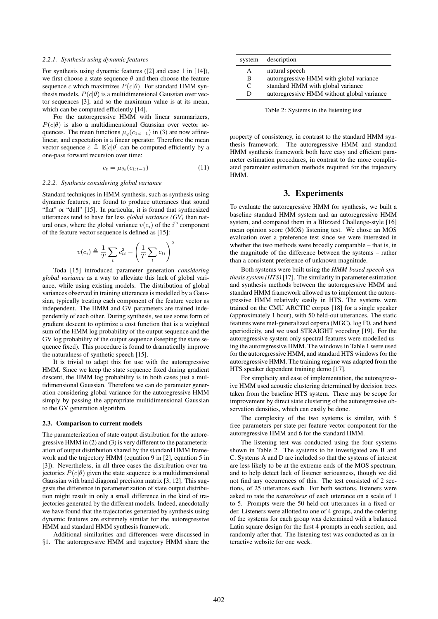#### *2.2.1. Synthesis using dynamic features*

For synthesis using dynamic features ([2] and case 1 in [14]), we first choose a state sequence  $\theta$  and then choose the feature sequence c which maximizes  $P(c|\theta)$ . For standard HMM synthesis models,  $P(c|\theta)$  is a multidimensional Gaussian over vector sequences [3], and so the maximum value is at its mean, which can be computed efficiently [14].

For the autoregressive HMM with linear summarizers,  $P(c|\theta)$  is also a multidimensional Gaussian over vector sequences. The mean functions  $\mu_q(c_{1:t-1})$  in (3) are now affinelinear, and expectation is a linear operator. Therefore the mean vector sequence  $\overline{c} \triangleq \mathbb{E}[c|\theta]$  can be computed efficiently by a one-pass forward recursion over time:

$$
\overline{c}_t = \mu_{\theta_t}(\overline{c}_{1:t-1}) \tag{11}
$$

#### *2.2.2. Synthesis considering global variance*

Standard techniques in HMM synthesis, such as synthesis using dynamic features, are found to produce utterances that sound "flat" or "dull" [15]. In particular, it is found that synthesized utterances tend to have far less *global variance (GV)* than natural ones, where the global variance  $v(c_i)$  of the i<sup>th</sup> component of the feature vector sequence is defined as [15]:

$$
v(c_i) \triangleq \frac{1}{T} \sum_t c_{ti}^2 - \left(\frac{1}{T} \sum_t c_{ti}\right)^2
$$

Toda [15] introduced parameter generation *considering global variance* as a way to alleviate this lack of global variance, while using existing models. The distribution of global variances observed in training utterances is modelled by a Gaussian, typically treating each component of the feature vector as independent. The HMM and GV parameters are trained independently of each other. During synthesis, we use some form of gradient descent to optimize a cost function that is a weighted sum of the HMM log probability of the output sequence and the GV log probability of the output sequence (keeping the state sequence fixed). This procedure is found to dramatically improve the naturalness of synthetic speech [15].

It is trivial to adapt this for use with the autoregressive HMM. Since we keep the state sequence fixed during gradient descent, the HMM log probability is in both cases just a multidimensional Gaussian. Therefore we can do parameter generation considering global variance for the autoregressive HMM simply by passing the appropriate multidimensional Gaussian to the GV generation algorithm.

#### 2.3. Comparison to current models

The parameterization of state output distribution for the autoregressive HMM in (2) and (3) is very different to the parameterization of output distribution shared by the standard HMM framework and the trajectory HMM (equation 9 in [2], equation 5 in [3]). Nevertheless, in all three cases the distribution over trajectories  $P(c|\theta)$  given the state sequence is a multidimensional Gaussian with band diagonal precision matrix [3, 12]. This suggests the difference in parameterization of state output distribution might result in only a small difference in the kind of trajectories generated by the different models. Indeed, anecdotally we have found that the trajectories generated by synthesis using dynamic features are extremely similar for the autoregressive HMM and standard HMM synthesis framework.

Additional similarities and differences were discussed in §1. The autoregressive HMM and trajectory HMM share the

| system | description                                |
|--------|--------------------------------------------|
| A      | natural speech                             |
| B      | autoregressive HMM with global variance    |
| C      | standard HMM with global variance          |
| Ð      | autoregressive HMM without global variance |
|        |                                            |

Table 2: Systems in the listening test

property of consistency, in contrast to the standard HMM synthesis framework. The autoregressive HMM and standard HMM synthesis framework both have easy and efficient parameter estimation procedures, in contrast to the more complicated parameter estimation methods required for the trajectory HMM.

# 3. Experiments

To evaluate the autoregressive HMM for synthesis, we built a baseline standard HMM system and an autoregressive HMM system, and compared them in a Blizzard Challenge-style [16] mean opinion score (MOS) listening test. We chose an MOS evaluation over a preference test since we were interested in whether the two methods were broadly comparable – that is, in the magnitude of the difference between the systems – rather than a consistent preference of unknown magnitude.

Both systems were built using the *HMM-based speech synthesis system (HTS)* [17]. The similarity in parameter estimation and synthesis methods between the autoregressive HMM and standard HMM framework allowed us to implement the autoregressive HMM relatively easily in HTS. The systems were trained on the CMU ARCTIC corpus [18] for a single speaker (approximately 1 hour), with 50 held-out utterances. The static features were mel-generalized cepstra (MGC), log F0, and band aperiodicity, and we used STRAIGHT vocoding [19]. For the autoregressive system only spectral features were modelled using the autoregressive HMM. The windows in Table 1 were used for the autoregressive HMM, and standard HTS windows for the autoregressive HMM. The training regime was adapted from the HTS speaker dependent training demo [17].

For simplicity and ease of implementation, the autoregressive HMM used acoustic clustering determined by decision trees taken from the baseline HTS system. There may be scope for improvement by direct state clustering of the autoregressive observation densities, which can easily be done.

The complexity of the two systems is similar, with 5 free parameters per state per feature vector component for the autoregressive HMM and 6 for the standard HMM.

The listening test was conducted using the four systems shown in Table 2. The systems to be investigated are B and C. Systems A and D are included so that the systems of interest are less likely to be at the extreme ends of the MOS spectrum, and to help detect lack of listener seriousness, though we did not find any occurrences of this. The test consisted of 2 sections, of 25 utterances each. For both sections, listeners were asked to rate the *naturalness* of each utterance on a scale of 1 to 5. Prompts were the 50 held-out utterances in a fixed order. Listeners were allotted to one of 4 groups, and the ordering of the systems for each group was determined with a balanced Latin square design for the first 4 prompts in each section, and randomly after that. The listening test was conducted as an interactive website for one week.